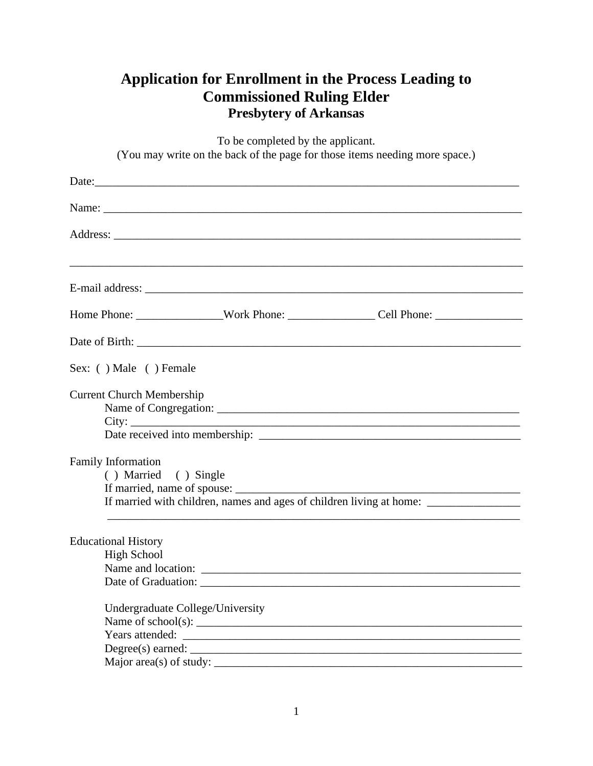## **Application for Enrollment in the Process Leading to Commissioned Ruling Elder Presbytery of Arkansas**

| To be completed by the applicant.<br>(You may write on the back of the page for those items needing more space.) |                                  |                                                                                   |  |  |
|------------------------------------------------------------------------------------------------------------------|----------------------------------|-----------------------------------------------------------------------------------|--|--|
|                                                                                                                  |                                  |                                                                                   |  |  |
|                                                                                                                  |                                  |                                                                                   |  |  |
|                                                                                                                  |                                  |                                                                                   |  |  |
|                                                                                                                  |                                  |                                                                                   |  |  |
|                                                                                                                  |                                  |                                                                                   |  |  |
|                                                                                                                  |                                  |                                                                                   |  |  |
| Sex: () Male () Female                                                                                           |                                  |                                                                                   |  |  |
| <b>Current Church Membership</b>                                                                                 |                                  |                                                                                   |  |  |
| <b>Family Information</b><br>() Married () Single                                                                |                                  | If married with children, names and ages of children living at home: ____________ |  |  |
| <b>Educational History</b><br><b>High School</b><br>Name and location:<br>Years attended:                        | Undergraduate College/University |                                                                                   |  |  |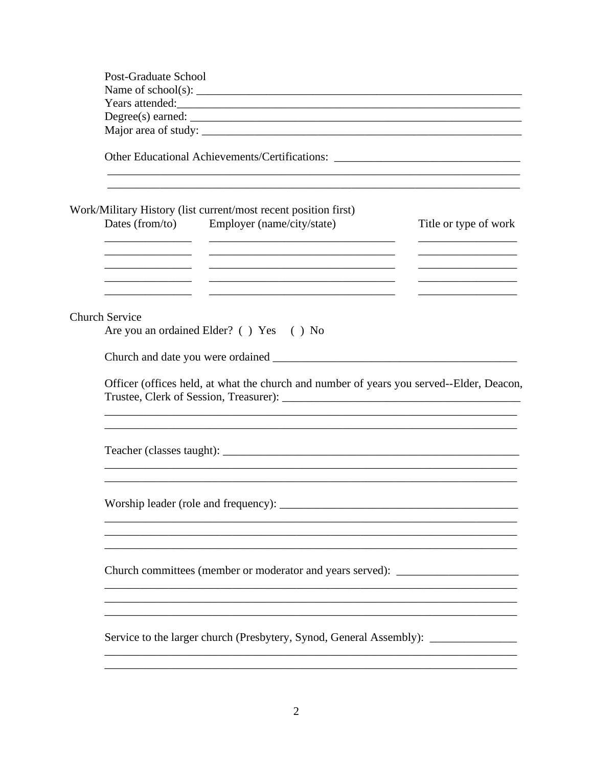| Post-Graduate School                                                                                                  |                                                                                                                                                                              |                                                                                                                      |  |  |  |
|-----------------------------------------------------------------------------------------------------------------------|------------------------------------------------------------------------------------------------------------------------------------------------------------------------------|----------------------------------------------------------------------------------------------------------------------|--|--|--|
|                                                                                                                       | Name of school(s): $\frac{1}{\sqrt{1-\frac{1}{2}} \cdot \frac{1}{2}}$                                                                                                        |                                                                                                                      |  |  |  |
|                                                                                                                       | Years attended:                                                                                                                                                              |                                                                                                                      |  |  |  |
|                                                                                                                       |                                                                                                                                                                              |                                                                                                                      |  |  |  |
|                                                                                                                       |                                                                                                                                                                              |                                                                                                                      |  |  |  |
|                                                                                                                       | Other Educational Achievements/Certifications: _________________________________<br>,我们也不会有什么。""我们的人,我们也不会有什么?""我们的人,我们也不会有什么?""我们的人,我们的人,我们也不会有什么?""我们的人,我们的人,我们的人,我        |                                                                                                                      |  |  |  |
| <u> 1980 - Andrea Andrew Maria III, prima postala prima prima prima prima prima prima prima prima prima prima pri</u> | Work/Military History (list current/most recent position first)<br>Dates (from/to) Employer (name/city/state)                                                                | Title or type of work<br><u> 1989 - Johann Johnson, mars andrew Maria (</u><br><u>______________________________</u> |  |  |  |
|                                                                                                                       |                                                                                                                                                                              | <u> 1990 - Johann Barbara, martin a</u>                                                                              |  |  |  |
| <b>Church Service</b>                                                                                                 | Are you an ordained Elder? () Yes () No                                                                                                                                      |                                                                                                                      |  |  |  |
|                                                                                                                       |                                                                                                                                                                              |                                                                                                                      |  |  |  |
|                                                                                                                       |                                                                                                                                                                              |                                                                                                                      |  |  |  |
|                                                                                                                       | Officer (offices held, at what the church and number of years you served--Elder, Deacon,<br>,我们也不能在这里的时候,我们也不能在这里的时候,我们也不能不能不能不能不能不能不能不能不能不能不能不能不能不能不能。""我们的是我们的,我们也不能不能不能不能 |                                                                                                                      |  |  |  |
|                                                                                                                       |                                                                                                                                                                              |                                                                                                                      |  |  |  |
|                                                                                                                       | Worship leader (role and frequency): ________                                                                                                                                |                                                                                                                      |  |  |  |
| Church committees (member or moderator and years served):                                                             |                                                                                                                                                                              |                                                                                                                      |  |  |  |
|                                                                                                                       | Service to the larger church (Presbytery, Synod, General Assembly): _____________                                                                                            |                                                                                                                      |  |  |  |
|                                                                                                                       |                                                                                                                                                                              |                                                                                                                      |  |  |  |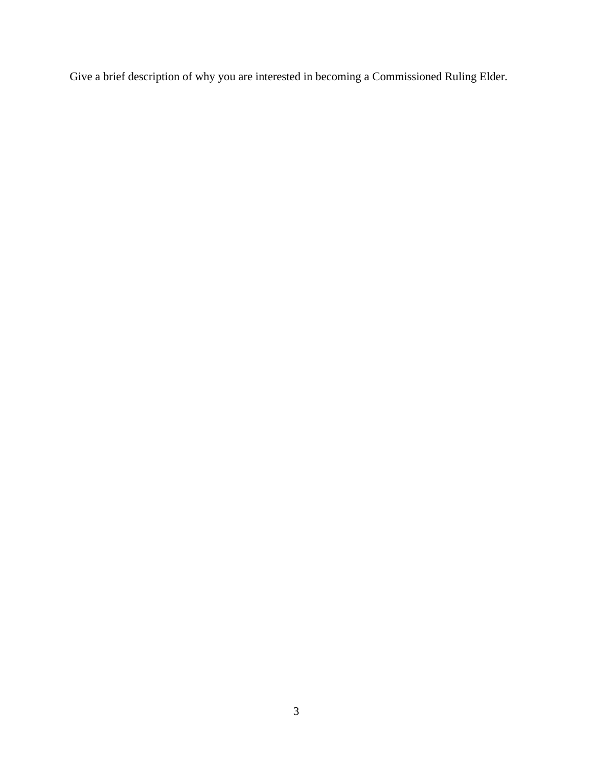Give a brief description of why you are interested in becoming a Commissioned Ruling Elder.